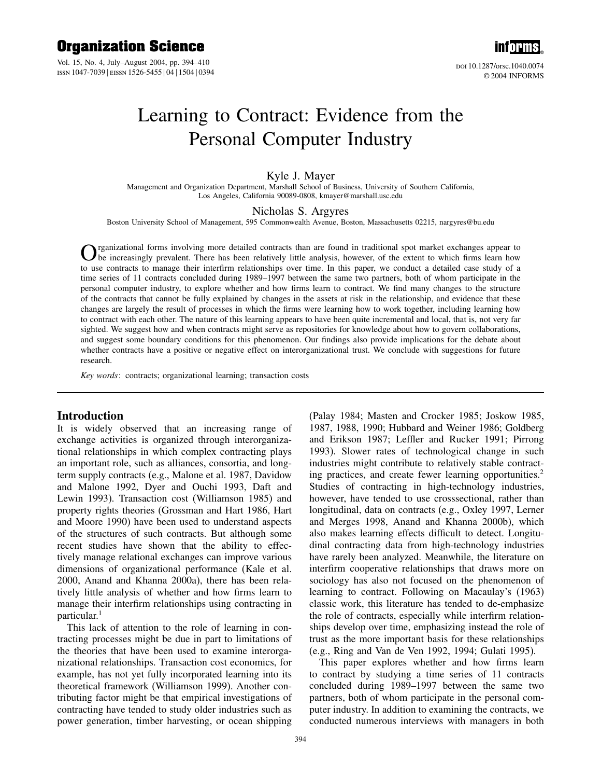Vol. 15, No. 4, July–August 2004, pp. 394–410 ISSN 1047-7039 | EISSN 1526-5455 | 04 | 1504 | 0394



doi 10.1287/orsc.1040.0074 © 2004 INFORMS

# Learning to Contract: Evidence from the Personal Computer Industry

# Kyle J. Mayer

Management and Organization Department, Marshall School of Business, University of Southern California, Los Angeles, California 90089-0808, kmayer@marshall.usc.edu

#### Nicholas S. Argyres

Boston University School of Management, 595 Commonwealth Avenue, Boston, Massachusetts 02215, nargyres@bu.edu

Organizational forms involving more detailed contracts than are found in traditional spot market exchanges appear to<br>the increasingly prevalent. There has been relatively little analysis, however, of the extent to which fi to use contracts to manage their interfirm relationships over time. In this paper, we conduct a detailed case study of a time series of 11 contracts concluded during 1989–1997 between the same two partners, both of whom participate in the personal computer industry, to explore whether and how firms learn to contract. We find many changes to the structure of the contracts that cannot be fully explained by changes in the assets at risk in the relationship, and evidence that these changes are largely the result of processes in which the firms were learning how to work together, including learning how to contract with each other. The nature of this learning appears to have been quite incremental and local, that is, not very far sighted. We suggest how and when contracts might serve as repositories for knowledge about how to govern collaborations, and suggest some boundary conditions for this phenomenon. Our findings also provide implications for the debate about whether contracts have a positive or negative effect on interorganizational trust. We conclude with suggestions for future research.

Key words: contracts; organizational learning; transaction costs

# Introduction

It is widely observed that an increasing range of exchange activities is organized through interorganizational relationships in which complex contracting plays an important role, such as alliances, consortia, and longterm supply contracts (e.g., Malone et al. 1987, Davidow and Malone 1992, Dyer and Ouchi 1993, Daft and Lewin 1993). Transaction cost (Williamson 1985) and property rights theories (Grossman and Hart 1986, Hart and Moore 1990) have been used to understand aspects of the structures of such contracts. But although some recent studies have shown that the ability to effectively manage relational exchanges can improve various dimensions of organizational performance (Kale et al. 2000, Anand and Khanna 2000a), there has been relatively little analysis of whether and how firms learn to manage their interfirm relationships using contracting in particular.<sup>1</sup>

This lack of attention to the role of learning in contracting processes might be due in part to limitations of the theories that have been used to examine interorganizational relationships. Transaction cost economics, for example, has not yet fully incorporated learning into its theoretical framework (Williamson 1999). Another contributing factor might be that empirical investigations of contracting have tended to study older industries such as power generation, timber harvesting, or ocean shipping

(Palay 1984; Masten and Crocker 1985; Joskow 1985, 1987, 1988, 1990; Hubbard and Weiner 1986; Goldberg and Erikson 1987; Leffler and Rucker 1991; Pirrong 1993). Slower rates of technological change in such industries might contribute to relatively stable contracting practices, and create fewer learning opportunities.<sup>2</sup> Studies of contracting in high-technology industries, however, have tended to use crosssectional, rather than longitudinal, data on contracts (e.g., Oxley 1997, Lerner and Merges 1998, Anand and Khanna 2000b), which also makes learning effects difficult to detect. Longitudinal contracting data from high-technology industries have rarely been analyzed. Meanwhile, the literature on interfirm cooperative relationships that draws more on sociology has also not focused on the phenomenon of learning to contract. Following on Macaulay's (1963) classic work, this literature has tended to de-emphasize the role of contracts, especially while interfirm relationships develop over time, emphasizing instead the role of trust as the more important basis for these relationships (e.g., Ring and Van de Ven 1992, 1994; Gulati 1995).

This paper explores whether and how firms learn to contract by studying a time series of 11 contracts concluded during 1989–1997 between the same two partners, both of whom participate in the personal computer industry. In addition to examining the contracts, we conducted numerous interviews with managers in both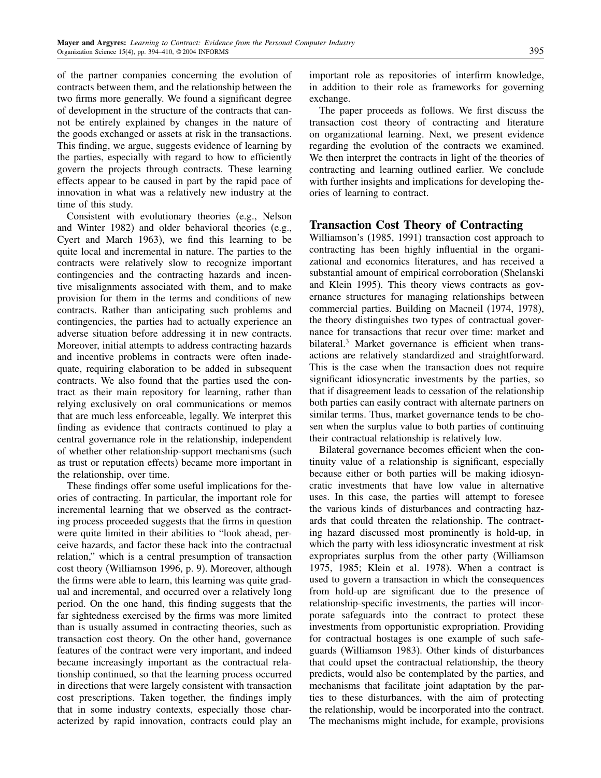of the partner companies concerning the evolution of contracts between them, and the relationship between the two firms more generally. We found a significant degree of development in the structure of the contracts that cannot be entirely explained by changes in the nature of the goods exchanged or assets at risk in the transactions. This finding, we argue, suggests evidence of learning by the parties, especially with regard to how to efficiently govern the projects through contracts. These learning effects appear to be caused in part by the rapid pace of innovation in what was a relatively new industry at the time of this study.

Consistent with evolutionary theories (e.g., Nelson and Winter 1982) and older behavioral theories (e.g., Cyert and March 1963), we find this learning to be quite local and incremental in nature. The parties to the contracts were relatively slow to recognize important contingencies and the contracting hazards and incentive misalignments associated with them, and to make provision for them in the terms and conditions of new contracts. Rather than anticipating such problems and contingencies, the parties had to actually experience an adverse situation before addressing it in new contracts. Moreover, initial attempts to address contracting hazards and incentive problems in contracts were often inadequate, requiring elaboration to be added in subsequent contracts. We also found that the parties used the contract as their main repository for learning, rather than relying exclusively on oral communications or memos that are much less enforceable, legally. We interpret this finding as evidence that contracts continued to play a central governance role in the relationship, independent of whether other relationship-support mechanisms (such as trust or reputation effects) became more important in the relationship, over time.

These findings offer some useful implications for theories of contracting. In particular, the important role for incremental learning that we observed as the contracting process proceeded suggests that the firms in question were quite limited in their abilities to "look ahead, perceive hazards, and factor these back into the contractual relation," which is a central presumption of transaction cost theory (Williamson 1996, p. 9). Moreover, although the firms were able to learn, this learning was quite gradual and incremental, and occurred over a relatively long period. On the one hand, this finding suggests that the far sightedness exercised by the firms was more limited than is usually assumed in contracting theories, such as transaction cost theory. On the other hand, governance features of the contract were very important, and indeed became increasingly important as the contractual relationship continued, so that the learning process occurred in directions that were largely consistent with transaction cost prescriptions. Taken together, the findings imply that in some industry contexts, especially those characterized by rapid innovation, contracts could play an important role as repositories of interfirm knowledge, in addition to their role as frameworks for governing exchange.

The paper proceeds as follows. We first discuss the transaction cost theory of contracting and literature on organizational learning. Next, we present evidence regarding the evolution of the contracts we examined. We then interpret the contracts in light of the theories of contracting and learning outlined earlier. We conclude with further insights and implications for developing theories of learning to contract.

# Transaction Cost Theory of Contracting

Williamson's (1985, 1991) transaction cost approach to contracting has been highly influential in the organizational and economics literatures, and has received a substantial amount of empirical corroboration (Shelanski and Klein 1995). This theory views contracts as governance structures for managing relationships between commercial parties. Building on Macneil (1974, 1978), the theory distinguishes two types of contractual governance for transactions that recur over time: market and bilateral.<sup>3</sup> Market governance is efficient when transactions are relatively standardized and straightforward. This is the case when the transaction does not require significant idiosyncratic investments by the parties, so that if disagreement leads to cessation of the relationship both parties can easily contract with alternate partners on similar terms. Thus, market governance tends to be chosen when the surplus value to both parties of continuing their contractual relationship is relatively low.

Bilateral governance becomes efficient when the continuity value of a relationship is significant, especially because either or both parties will be making idiosyncratic investments that have low value in alternative uses. In this case, the parties will attempt to foresee the various kinds of disturbances and contracting hazards that could threaten the relationship. The contracting hazard discussed most prominently is hold-up, in which the party with less idiosyncratic investment at risk expropriates surplus from the other party (Williamson 1975, 1985; Klein et al. 1978). When a contract is used to govern a transaction in which the consequences from hold-up are significant due to the presence of relationship-specific investments, the parties will incorporate safeguards into the contract to protect these investments from opportunistic expropriation. Providing for contractual hostages is one example of such safeguards (Williamson 1983). Other kinds of disturbances that could upset the contractual relationship, the theory predicts, would also be contemplated by the parties, and mechanisms that facilitate joint adaptation by the parties to these disturbances, with the aim of protecting the relationship, would be incorporated into the contract. The mechanisms might include, for example, provisions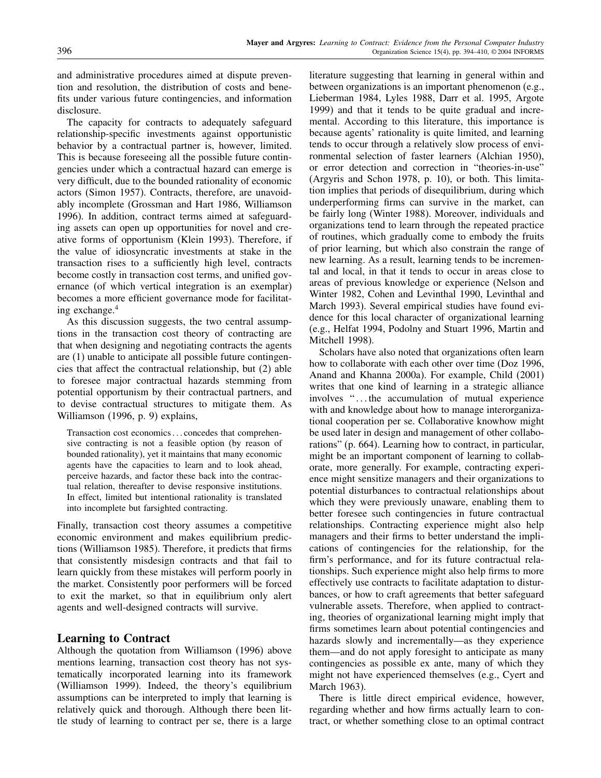and administrative procedures aimed at dispute prevention and resolution, the distribution of costs and benefits under various future contingencies, and information disclosure.

The capacity for contracts to adequately safeguard relationship-specific investments against opportunistic behavior by a contractual partner is, however, limited. This is because foreseeing all the possible future contingencies under which a contractual hazard can emerge is very difficult, due to the bounded rationality of economic actors (Simon 1957). Contracts, therefore, are unavoidably incomplete (Grossman and Hart 1986, Williamson 1996). In addition, contract terms aimed at safeguarding assets can open up opportunities for novel and creative forms of opportunism (Klein 1993). Therefore, if the value of idiosyncratic investments at stake in the transaction rises to a sufficiently high level, contracts become costly in transaction cost terms, and unified governance (of which vertical integration is an exemplar) becomes a more efficient governance mode for facilitating exchange.<sup>4</sup>

As this discussion suggests, the two central assumptions in the transaction cost theory of contracting are that when designing and negotiating contracts the agents are (1) unable to anticipate all possible future contingencies that affect the contractual relationship, but (2) able to foresee major contractual hazards stemming from potential opportunism by their contractual partners, and to devise contractual structures to mitigate them. As Williamson (1996, p. 9) explains,

Transaction cost economics ... concedes that comprehensive contracting is not a feasible option (by reason of bounded rationality), yet it maintains that many economic agents have the capacities to learn and to look ahead, perceive hazards, and factor these back into the contractual relation, thereafter to devise responsive institutions. In effect, limited but intentional rationality is translated into incomplete but farsighted contracting.

Finally, transaction cost theory assumes a competitive economic environment and makes equilibrium predictions (Williamson 1985). Therefore, it predicts that firms that consistently misdesign contracts and that fail to learn quickly from these mistakes will perform poorly in the market. Consistently poor performers will be forced to exit the market, so that in equilibrium only alert agents and well-designed contracts will survive.

# Learning to Contract

Although the quotation from Williamson (1996) above mentions learning, transaction cost theory has not systematically incorporated learning into its framework (Williamson 1999). Indeed, the theory's equilibrium assumptions can be interpreted to imply that learning is relatively quick and thorough. Although there been little study of learning to contract per se, there is a large

literature suggesting that learning in general within and between organizations is an important phenomenon (e.g., Lieberman 1984, Lyles 1988, Darr et al. 1995, Argote 1999) and that it tends to be quite gradual and incremental. According to this literature, this importance is because agents' rationality is quite limited, and learning tends to occur through a relatively slow process of environmental selection of faster learners (Alchian 1950), or error detection and correction in "theories-in-use" (Argyris and Schon 1978, p. 10), or both. This limitation implies that periods of disequilibrium, during which underperforming firms can survive in the market, can be fairly long (Winter 1988). Moreover, individuals and organizations tend to learn through the repeated practice of routines, which gradually come to embody the fruits of prior learning, but which also constrain the range of new learning. As a result, learning tends to be incremental and local, in that it tends to occur in areas close to areas of previous knowledge or experience (Nelson and Winter 1982, Cohen and Levinthal 1990, Levinthal and March 1993). Several empirical studies have found evidence for this local character of organizational learning (e.g., Helfat 1994, Podolny and Stuart 1996, Martin and Mitchell 1998).

Scholars have also noted that organizations often learn how to collaborate with each other over time (Doz 1996, Anand and Khanna 2000a). For example, Child (2001) writes that one kind of learning in a strategic alliance involves "...the accumulation of mutual experience with and knowledge about how to manage interorganizational cooperation per se. Collaborative knowhow might be used later in design and management of other collaborations" (p. 664). Learning how to contract, in particular, might be an important component of learning to collaborate, more generally. For example, contracting experience might sensitize managers and their organizations to potential disturbances to contractual relationships about which they were previously unaware, enabling them to better foresee such contingencies in future contractual relationships. Contracting experience might also help managers and their firms to better understand the implications of contingencies for the relationship, for the firm's performance, and for its future contractual relationships. Such experience might also help firms to more effectively use contracts to facilitate adaptation to disturbances, or how to craft agreements that better safeguard vulnerable assets. Therefore, when applied to contracting, theories of organizational learning might imply that firms sometimes learn about potential contingencies and hazards slowly and incrementally—as they experience them—and do not apply foresight to anticipate as many contingencies as possible ex ante, many of which they might not have experienced themselves (e.g., Cyert and March 1963).

There is little direct empirical evidence, however, regarding whether and how firms actually learn to contract, or whether something close to an optimal contract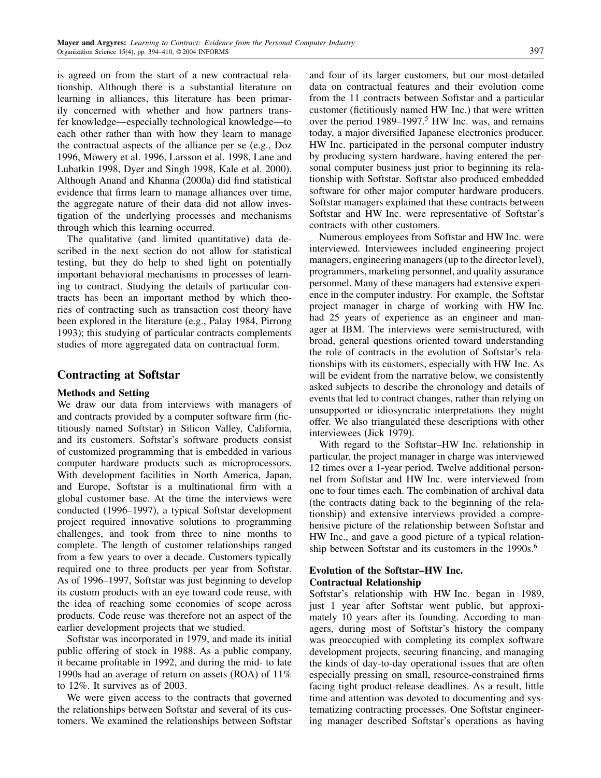is agreed on from the start of a new contractual relationship. Although there is a substantial literature on learning in alliances, this literature has been primarily concerned with whether and how partners transfer knowledge—especially technological knowledge—to each other rather than with how they learn to manage the contractual aspects of the alliance per se (e.g., Doz 1996, Mowery et al. 1996, Larsson et al. 1998, Lane and Lubatkin 1998, Dyer and Singh 1998, Kale et al. 2000). Although Anand and Khanna (2000a) did find statistical evidence that firms learn to manage alliances over time, the aggregate nature of their data did not allow investigation of the underlying processes and mechanisms through which this learning occurred.

The qualitative (and limited quantitative) data described in the next section do not allow for statistical testing, but they do help to shed light on potentially important behavioral mechanisms in processes of learning to contract. Studying the details of particular contracts has been an important method by which theories of contracting such as transaction cost theory have been explored in the literature (e.g., Palay 1984, Pirrong 1993); this studying of particular contracts complements studies of more aggregated data on contractual form.

# Contracting at Softstar

# Methods and Setting

We draw our data from interviews with managers of and contracts provided by a computer software firm (fictitiously named Softstar) in Silicon Valley, California, and its customers. Softstar's software products consist of customized programming that is embedded in various computer hardware products such as microprocessors. With development facilities in North America, Japan, and Europe, Softstar is a multinational firm with a global customer base. At the time the interviews were conducted (1996–1997), a typical Softstar development project required innovative solutions to programming challenges, and took from three to nine months to complete. The length of customer relationships ranged from a few years to over a decade. Customers typically required one to three products per year from Softstar. As of 1996–1997, Softstar was just beginning to develop its custom products with an eye toward code reuse, with the idea of reaching some economies of scope across products. Code reuse was therefore not an aspect of the earlier development projects that we studied.

Softstar was incorporated in 1979, and made its initial public offering of stock in 1988. As a public company, it became profitable in 1992, and during the mid- to late 1990s had an average of return on assets (ROA) of 11% to 12%. It survives as of 2003.

We were given access to the contracts that governed the relationships between Softstar and several of its customers. We examined the relationships between Softstar and four of its larger customers, but our most-detailed data on contractual features and their evolution come from the 11 contracts between Softstar and a particular customer (fictitiously named HW Inc.) that were written over the period  $1989-1997$ .<sup>5</sup> HW Inc. was, and remains today, a major diversified Japanese electronics producer. HW Inc. participated in the personal computer industry by producing system hardware, having entered the personal computer business just prior to beginning its relationship with Softstar. Softstar also produced embedded software for other major computer hardware producers. Softstar managers explained that these contracts between Softstar and HW Inc. were representative of Softstar's contracts with other customers.

Numerous employees from Softstar and HW Inc. were interviewed. Interviewees included engineering project managers, engineering managers (up to the director level), programmers, marketing personnel, and quality assurance personnel. Many of these managers had extensive experience in the computer industry. For example, the Softstar project manager in charge of working with HW Inc. had 25 years of experience as an engineer and manager at IBM. The interviews were semistructured, with broad, general questions oriented toward understanding the role of contracts in the evolution of Softstar's relationships with its customers, especially with HW Inc. As will be evident from the narrative below, we consistently asked subjects to describe the chronology and details of events that led to contract changes, rather than relying on unsupported or idiosyncratic interpretations they might offer. We also triangulated these descriptions with other interviewees (Jick 1979).

With regard to the Softstar–HW Inc. relationship in particular, the project manager in charge was interviewed 12 times over a 1-year period. Twelve additional personnel from Softstar and HW Inc. were interviewed from one to four times each. The combination of archival data (the contracts dating back to the beginning of the relationship) and extensive interviews provided a comprehensive picture of the relationship between Softstar and HW Inc., and gave a good picture of a typical relationship between Softstar and its customers in the 1990s.<sup>6</sup>

# Evolution of the Softstar–HW Inc. Contractual Relationship

Softstar's relationship with HW Inc. began in 1989, just 1 year after Softstar went public, but approximately 10 years after its founding. According to managers, during most of Softstar's history the company was preoccupied with completing its complex software development projects, securing financing, and managing the kinds of day-to-day operational issues that are often especially pressing on small, resource-constrained firms facing tight product-release deadlines. As a result, little time and attention was devoted to documenting and systematizing contracting processes. One Softstar engineering manager described Softstar's operations as having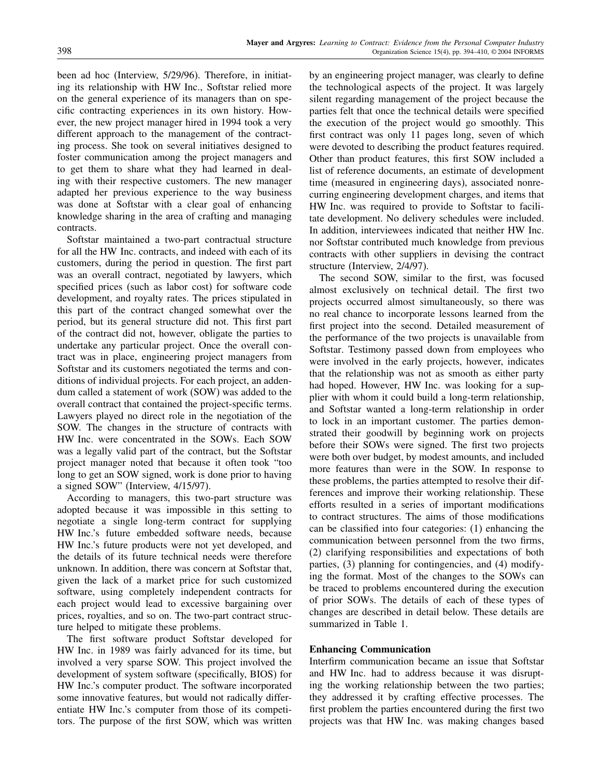been ad hoc (Interview, 5/29/96). Therefore, in initiating its relationship with HW Inc., Softstar relied more on the general experience of its managers than on specific contracting experiences in its own history. However, the new project manager hired in 1994 took a very different approach to the management of the contracting process. She took on several initiatives designed to foster communication among the project managers and to get them to share what they had learned in dealing with their respective customers. The new manager adapted her previous experience to the way business was done at Softstar with a clear goal of enhancing knowledge sharing in the area of crafting and managing contracts.

Softstar maintained a two-part contractual structure for all the HW Inc. contracts, and indeed with each of its customers, during the period in question. The first part was an overall contract, negotiated by lawyers, which specified prices (such as labor cost) for software code development, and royalty rates. The prices stipulated in this part of the contract changed somewhat over the period, but its general structure did not. This first part of the contract did not, however, obligate the parties to undertake any particular project. Once the overall contract was in place, engineering project managers from Softstar and its customers negotiated the terms and conditions of individual projects. For each project, an addendum called a statement of work (SOW) was added to the overall contract that contained the project-specific terms. Lawyers played no direct role in the negotiation of the SOW. The changes in the structure of contracts with HW Inc. were concentrated in the SOWs. Each SOW was a legally valid part of the contract, but the Softstar project manager noted that because it often took "too long to get an SOW signed, work is done prior to having a signed SOW" (Interview, 4/15/97).

According to managers, this two-part structure was adopted because it was impossible in this setting to negotiate a single long-term contract for supplying HW Inc.'s future embedded software needs, because HW Inc.'s future products were not yet developed, and the details of its future technical needs were therefore unknown. In addition, there was concern at Softstar that, given the lack of a market price for such customized software, using completely independent contracts for each project would lead to excessive bargaining over prices, royalties, and so on. The two-part contract structure helped to mitigate these problems.

The first software product Softstar developed for HW Inc. in 1989 was fairly advanced for its time, but involved a very sparse SOW. This project involved the development of system software (specifically, BIOS) for HW Inc.'s computer product. The software incorporated some innovative features, but would not radically differentiate HW Inc.'s computer from those of its competitors. The purpose of the first SOW, which was written

by an engineering project manager, was clearly to define the technological aspects of the project. It was largely silent regarding management of the project because the parties felt that once the technical details were specified the execution of the project would go smoothly. This first contract was only 11 pages long, seven of which were devoted to describing the product features required. Other than product features, this first SOW included a list of reference documents, an estimate of development time (measured in engineering days), associated nonrecurring engineering development charges, and items that HW Inc. was required to provide to Softstar to facilitate development. No delivery schedules were included. In addition, interviewees indicated that neither HW Inc. nor Softstar contributed much knowledge from previous contracts with other suppliers in devising the contract structure (Interview, 2/4/97).

The second SOW, similar to the first, was focused almost exclusively on technical detail. The first two projects occurred almost simultaneously, so there was no real chance to incorporate lessons learned from the first project into the second. Detailed measurement of the performance of the two projects is unavailable from Softstar. Testimony passed down from employees who were involved in the early projects, however, indicates that the relationship was not as smooth as either party had hoped. However, HW Inc. was looking for a supplier with whom it could build a long-term relationship, and Softstar wanted a long-term relationship in order to lock in an important customer. The parties demonstrated their goodwill by beginning work on projects before their SOWs were signed. The first two projects were both over budget, by modest amounts, and included more features than were in the SOW. In response to these problems, the parties attempted to resolve their differences and improve their working relationship. These efforts resulted in a series of important modifications to contract structures. The aims of those modifications can be classified into four categories: (1) enhancing the communication between personnel from the two firms, (2) clarifying responsibilities and expectations of both parties, (3) planning for contingencies, and (4) modifying the format. Most of the changes to the SOWs can be traced to problems encountered during the execution of prior SOWs. The details of each of these types of changes are described in detail below. These details are summarized in Table 1.

# Enhancing Communication

Interfirm communication became an issue that Softstar and HW Inc. had to address because it was disrupting the working relationship between the two parties; they addressed it by crafting effective processes. The first problem the parties encountered during the first two projects was that HW Inc. was making changes based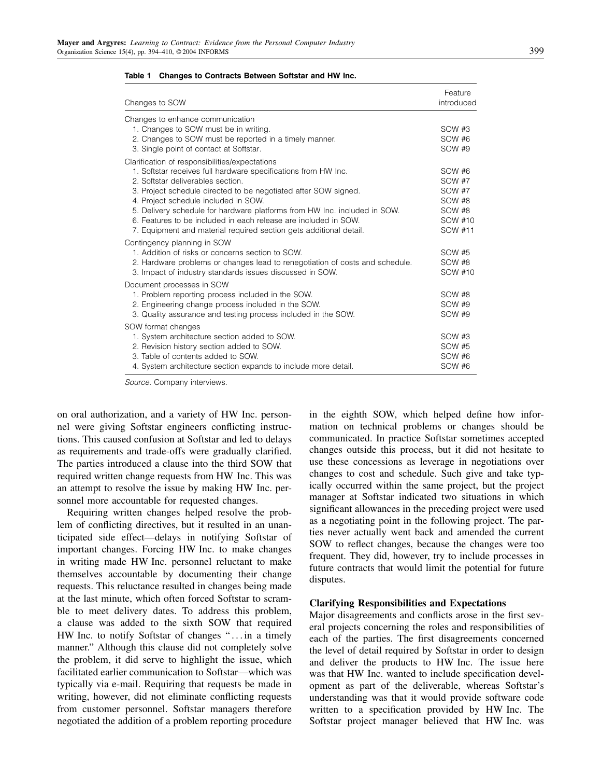| Changes to SOW                                                               | Feature<br>introduced |
|------------------------------------------------------------------------------|-----------------------|
| Changes to enhance communication                                             |                       |
| 1. Changes to SOW must be in writing.                                        | SOW #3                |
| 2. Changes to SOW must be reported in a timely manner.                       | SOW #6                |
| 3. Single point of contact at Softstar.                                      | SOW #9                |
| Clarification of responsibilities/expectations                               |                       |
| 1. Softstar receives full hardware specifications from HW Inc.               | SOW #6                |
| 2. Softstar deliverables section.                                            | <b>SOW #7</b>         |
| 3. Project schedule directed to be negotiated after SOW signed.              | <b>SOW #7</b>         |
| 4. Project schedule included in SOW.                                         | SOW #8                |
| 5. Delivery schedule for hardware platforms from HW Inc. included in SOW.    | SOW #8                |
| 6. Features to be included in each release are included in SOW.              | SOW #10               |
| 7. Equipment and material required section gets additional detail.           | SOW #11               |
| Contingency planning in SOW                                                  |                       |
| 1. Addition of risks or concerns section to SOW.                             | SOW #5                |
| 2. Hardware problems or changes lead to renegotiation of costs and schedule. | SOW #8                |
| 3. Impact of industry standards issues discussed in SOW.                     | SOW #10               |
| Document processes in SOW                                                    |                       |
| 1. Problem reporting process included in the SOW.                            | SOW #8                |
| 2. Engineering change process included in the SOW.                           | SOW #9                |
| 3. Quality assurance and testing process included in the SOW.                | SOW #9                |
| SOW format changes                                                           |                       |
| 1. System architecture section added to SOW.                                 | SOW #3                |
| 2. Revision history section added to SOW.                                    | SOW #5                |
| 3. Table of contents added to SOW.                                           | SOW #6                |
| 4. System architecture section expands to include more detail.               | SOW #6                |

#### Table 1 Changes to Contracts Between Softstar and HW Inc.

Source. Company interviews.

on oral authorization, and a variety of HW Inc. personnel were giving Softstar engineers conflicting instructions. This caused confusion at Softstar and led to delays as requirements and trade-offs were gradually clarified. The parties introduced a clause into the third SOW that required written change requests from HW Inc. This was an attempt to resolve the issue by making HW Inc. personnel more accountable for requested changes.

Requiring written changes helped resolve the problem of conflicting directives, but it resulted in an unanticipated side effect—delays in notifying Softstar of important changes. Forcing HW Inc. to make changes in writing made HW Inc. personnel reluctant to make themselves accountable by documenting their change requests. This reluctance resulted in changes being made at the last minute, which often forced Softstar to scramble to meet delivery dates. To address this problem, a clause was added to the sixth SOW that required HW Inc. to notify Softstar of changes "... in a timely manner." Although this clause did not completely solve the problem, it did serve to highlight the issue, which facilitated earlier communication to Softstar—which was typically via e-mail. Requiring that requests be made in writing, however, did not eliminate conflicting requests from customer personnel. Softstar managers therefore negotiated the addition of a problem reporting procedure

in the eighth SOW, which helped define how information on technical problems or changes should be communicated. In practice Softstar sometimes accepted changes outside this process, but it did not hesitate to use these concessions as leverage in negotiations over changes to cost and schedule. Such give and take typically occurred within the same project, but the project manager at Softstar indicated two situations in which significant allowances in the preceding project were used as a negotiating point in the following project. The parties never actually went back and amended the current SOW to reflect changes, because the changes were too frequent. They did, however, try to include processes in future contracts that would limit the potential for future disputes.

#### Clarifying Responsibilities and Expectations

Major disagreements and conflicts arose in the first several projects concerning the roles and responsibilities of each of the parties. The first disagreements concerned the level of detail required by Softstar in order to design and deliver the products to HW Inc. The issue here was that HW Inc. wanted to include specification development as part of the deliverable, whereas Softstar's understanding was that it would provide software code written to a specification provided by HW Inc. The Softstar project manager believed that HW Inc. was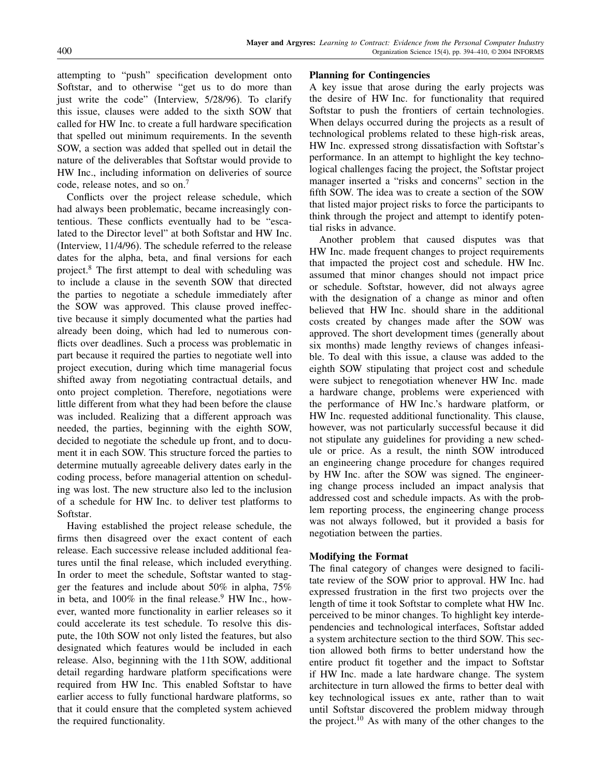attempting to "push" specification development onto Softstar, and to otherwise "get us to do more than just write the code" (Interview, 5/28/96). To clarify this issue, clauses were added to the sixth SOW that called for HW Inc. to create a full hardware specification that spelled out minimum requirements. In the seventh SOW, a section was added that spelled out in detail the nature of the deliverables that Softstar would provide to HW Inc., including information on deliveries of source code, release notes, and so on.<sup>7</sup>

Conflicts over the project release schedule, which had always been problematic, became increasingly contentious. These conflicts eventually had to be "escalated to the Director level" at both Softstar and HW Inc. (Interview, 11/4/96). The schedule referred to the release dates for the alpha, beta, and final versions for each project.<sup>8</sup> The first attempt to deal with scheduling was to include a clause in the seventh SOW that directed the parties to negotiate a schedule immediately after the SOW was approved. This clause proved ineffective because it simply documented what the parties had already been doing, which had led to numerous conflicts over deadlines. Such a process was problematic in part because it required the parties to negotiate well into project execution, during which time managerial focus shifted away from negotiating contractual details, and onto project completion. Therefore, negotiations were little different from what they had been before the clause was included. Realizing that a different approach was needed, the parties, beginning with the eighth SOW, decided to negotiate the schedule up front, and to document it in each SOW. This structure forced the parties to determine mutually agreeable delivery dates early in the coding process, before managerial attention on scheduling was lost. The new structure also led to the inclusion of a schedule for HW Inc. to deliver test platforms to Softstar.

Having established the project release schedule, the firms then disagreed over the exact content of each release. Each successive release included additional features until the final release, which included everything. In order to meet the schedule, Softstar wanted to stagger the features and include about 50% in alpha, 75% in beta, and  $100\%$  in the final release.<sup>9</sup> HW Inc., however, wanted more functionality in earlier releases so it could accelerate its test schedule. To resolve this dispute, the 10th SOW not only listed the features, but also designated which features would be included in each release. Also, beginning with the 11th SOW, additional detail regarding hardware platform specifications were required from HW Inc. This enabled Softstar to have earlier access to fully functional hardware platforms, so that it could ensure that the completed system achieved the required functionality.

### Planning for Contingencies

A key issue that arose during the early projects was the desire of HW Inc. for functionality that required Softstar to push the frontiers of certain technologies. When delays occurred during the projects as a result of technological problems related to these high-risk areas, HW Inc. expressed strong dissatisfaction with Softstar's performance. In an attempt to highlight the key technological challenges facing the project, the Softstar project manager inserted a "risks and concerns" section in the fifth SOW. The idea was to create a section of the SOW that listed major project risks to force the participants to think through the project and attempt to identify potential risks in advance.

Another problem that caused disputes was that HW Inc. made frequent changes to project requirements that impacted the project cost and schedule. HW Inc. assumed that minor changes should not impact price or schedule. Softstar, however, did not always agree with the designation of a change as minor and often believed that HW Inc. should share in the additional costs created by changes made after the SOW was approved. The short development times (generally about six months) made lengthy reviews of changes infeasible. To deal with this issue, a clause was added to the eighth SOW stipulating that project cost and schedule were subject to renegotiation whenever HW Inc. made a hardware change, problems were experienced with the performance of HW Inc.'s hardware platform, or HW Inc. requested additional functionality. This clause, however, was not particularly successful because it did not stipulate any guidelines for providing a new schedule or price. As a result, the ninth SOW introduced an engineering change procedure for changes required by HW Inc. after the SOW was signed. The engineering change process included an impact analysis that addressed cost and schedule impacts. As with the problem reporting process, the engineering change process was not always followed, but it provided a basis for negotiation between the parties.

# Modifying the Format

The final category of changes were designed to facilitate review of the SOW prior to approval. HW Inc. had expressed frustration in the first two projects over the length of time it took Softstar to complete what HW Inc. perceived to be minor changes. To highlight key interdependencies and technological interfaces, Softstar added a system architecture section to the third SOW. This section allowed both firms to better understand how the entire product fit together and the impact to Softstar if HW Inc. made a late hardware change. The system architecture in turn allowed the firms to better deal with key technological issues ex ante, rather than to wait until Softstar discovered the problem midway through the project.<sup>10</sup> As with many of the other changes to the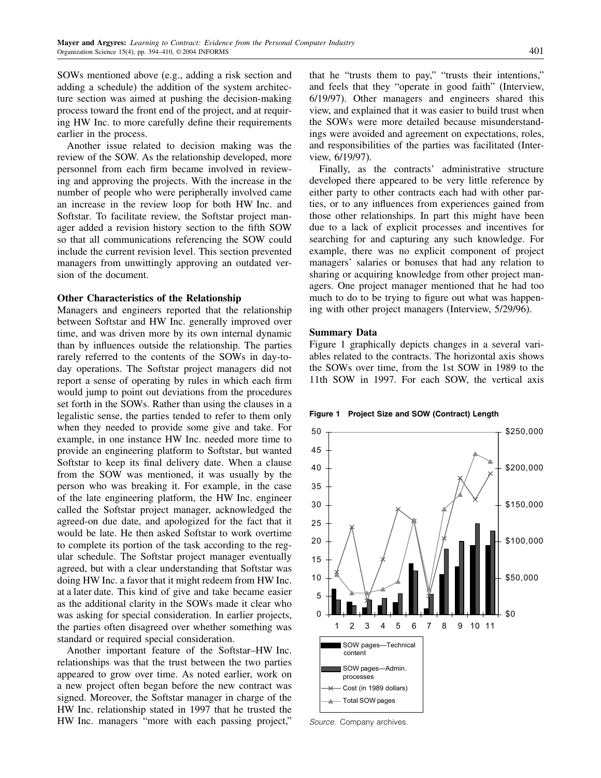SOWs mentioned above (e.g., adding a risk section and adding a schedule) the addition of the system architecture section was aimed at pushing the decision-making process toward the front end of the project, and at requiring HW Inc. to more carefully define their requirements earlier in the process.

Another issue related to decision making was the review of the SOW. As the relationship developed, more personnel from each firm became involved in reviewing and approving the projects. With the increase in the number of people who were peripherally involved came an increase in the review loop for both HW Inc. and Softstar. To facilitate review, the Softstar project manager added a revision history section to the fifth SOW so that all communications referencing the SOW could include the current revision level. This section prevented managers from unwittingly approving an outdated version of the document.

#### Other Characteristics of the Relationship

Managers and engineers reported that the relationship between Softstar and HW Inc. generally improved over time, and was driven more by its own internal dynamic than by influences outside the relationship. The parties rarely referred to the contents of the SOWs in day-today operations. The Softstar project managers did not report a sense of operating by rules in which each firm would jump to point out deviations from the procedures set forth in the SOWs. Rather than using the clauses in a legalistic sense, the parties tended to refer to them only when they needed to provide some give and take. For example, in one instance HW Inc. needed more time to provide an engineering platform to Softstar, but wanted Softstar to keep its final delivery date. When a clause from the SOW was mentioned, it was usually by the person who was breaking it. For example, in the case of the late engineering platform, the HW Inc. engineer called the Softstar project manager, acknowledged the agreed-on due date, and apologized for the fact that it would be late. He then asked Softstar to work overtime to complete its portion of the task according to the regular schedule. The Softstar project manager eventually agreed, but with a clear understanding that Softstar was doing HW Inc. a favor that it might redeem from HW Inc. at a later date. This kind of give and take became easier as the additional clarity in the SOWs made it clear who was asking for special consideration. In earlier projects, the parties often disagreed over whether something was standard or required special consideration.

Another important feature of the Softstar–HW Inc. relationships was that the trust between the two parties appeared to grow over time. As noted earlier, work on a new project often began before the new contract was signed. Moreover, the Softstar manager in charge of the HW Inc. relationship stated in 1997 that he trusted the HW Inc. managers "more with each passing project,"

that he "trusts them to pay," "trusts their intentions," and feels that they "operate in good faith" (Interview, 6/19/97). Other managers and engineers shared this view, and explained that it was easier to build trust when the SOWs were more detailed because misunderstandings were avoided and agreement on expectations, roles, and responsibilities of the parties was facilitated (Interview, 6/19/97).

Finally, as the contracts' administrative structure developed there appeared to be very little reference by either party to other contracts each had with other parties, or to any influences from experiences gained from those other relationships. In part this might have been due to a lack of explicit processes and incentives for searching for and capturing any such knowledge. For example, there was no explicit component of project managers' salaries or bonuses that had any relation to sharing or acquiring knowledge from other project managers. One project manager mentioned that he had too much to do to be trying to figure out what was happening with other project managers (Interview, 5/29/96).

#### Summary Data

Figure 1 graphically depicts changes in a several variables related to the contracts. The horizontal axis shows the SOWs over time, from the 1st SOW in 1989 to the 11th SOW in 1997. For each SOW, the vertical axis





Source. Company archives.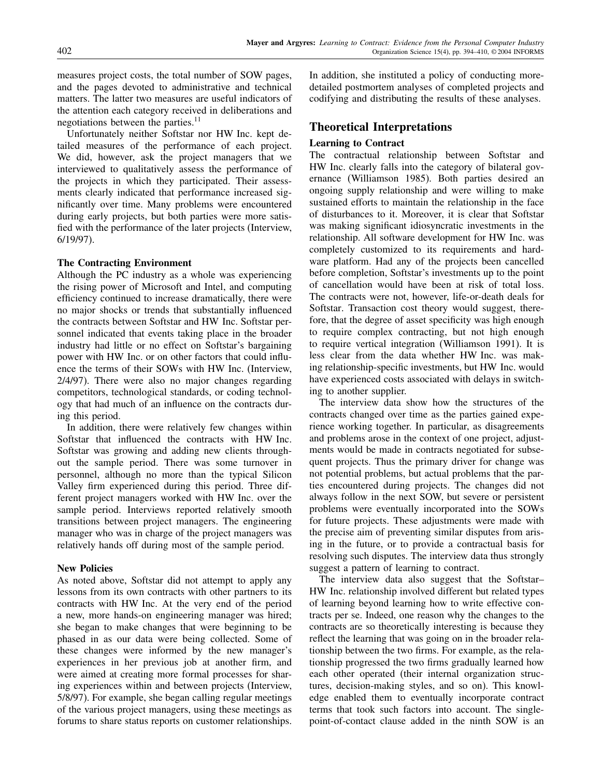measures project costs, the total number of SOW pages, and the pages devoted to administrative and technical matters. The latter two measures are useful indicators of the attention each category received in deliberations and negotiations between the parties. $11$ 

Unfortunately neither Softstar nor HW Inc. kept detailed measures of the performance of each project. We did, however, ask the project managers that we interviewed to qualitatively assess the performance of the projects in which they participated. Their assessments clearly indicated that performance increased significantly over time. Many problems were encountered during early projects, but both parties were more satisfied with the performance of the later projects (Interview, 6/19/97).

#### The Contracting Environment

Although the PC industry as a whole was experiencing the rising power of Microsoft and Intel, and computing efficiency continued to increase dramatically, there were no major shocks or trends that substantially influenced the contracts between Softstar and HW Inc. Softstar personnel indicated that events taking place in the broader industry had little or no effect on Softstar's bargaining power with HW Inc. or on other factors that could influence the terms of their SOWs with HW Inc. (Interview, 2/4/97). There were also no major changes regarding competitors, technological standards, or coding technology that had much of an influence on the contracts during this period.

In addition, there were relatively few changes within Softstar that influenced the contracts with HW Inc. Softstar was growing and adding new clients throughout the sample period. There was some turnover in personnel, although no more than the typical Silicon Valley firm experienced during this period. Three different project managers worked with HW Inc. over the sample period. Interviews reported relatively smooth transitions between project managers. The engineering manager who was in charge of the project managers was relatively hands off during most of the sample period.

#### New Policies

As noted above, Softstar did not attempt to apply any lessons from its own contracts with other partners to its contracts with HW Inc. At the very end of the period a new, more hands-on engineering manager was hired; she began to make changes that were beginning to be phased in as our data were being collected. Some of these changes were informed by the new manager's experiences in her previous job at another firm, and were aimed at creating more formal processes for sharing experiences within and between projects (Interview, 5/8/97). For example, she began calling regular meetings of the various project managers, using these meetings as forums to share status reports on customer relationships.

In addition, she instituted a policy of conducting moredetailed postmortem analyses of completed projects and codifying and distributing the results of these analyses.

## Theoretical Interpretations

#### Learning to Contract

The contractual relationship between Softstar and HW Inc. clearly falls into the category of bilateral governance (Williamson 1985). Both parties desired an ongoing supply relationship and were willing to make sustained efforts to maintain the relationship in the face of disturbances to it. Moreover, it is clear that Softstar was making significant idiosyncratic investments in the relationship. All software development for HW Inc. was completely customized to its requirements and hardware platform. Had any of the projects been cancelled before completion, Softstar's investments up to the point of cancellation would have been at risk of total loss. The contracts were not, however, life-or-death deals for Softstar. Transaction cost theory would suggest, therefore, that the degree of asset specificity was high enough to require complex contracting, but not high enough to require vertical integration (Williamson 1991). It is less clear from the data whether HW Inc. was making relationship-specific investments, but HW Inc. would have experienced costs associated with delays in switching to another supplier.

The interview data show how the structures of the contracts changed over time as the parties gained experience working together. In particular, as disagreements and problems arose in the context of one project, adjustments would be made in contracts negotiated for subsequent projects. Thus the primary driver for change was not potential problems, but actual problems that the parties encountered during projects. The changes did not always follow in the next SOW, but severe or persistent problems were eventually incorporated into the SOWs for future projects. These adjustments were made with the precise aim of preventing similar disputes from arising in the future, or to provide a contractual basis for resolving such disputes. The interview data thus strongly suggest a pattern of learning to contract.

The interview data also suggest that the Softstar– HW Inc. relationship involved different but related types of learning beyond learning how to write effective contracts per se. Indeed, one reason why the changes to the contracts are so theoretically interesting is because they reflect the learning that was going on in the broader relationship between the two firms. For example, as the relationship progressed the two firms gradually learned how each other operated (their internal organization structures, decision-making styles, and so on). This knowledge enabled them to eventually incorporate contract terms that took such factors into account. The singlepoint-of-contact clause added in the ninth SOW is an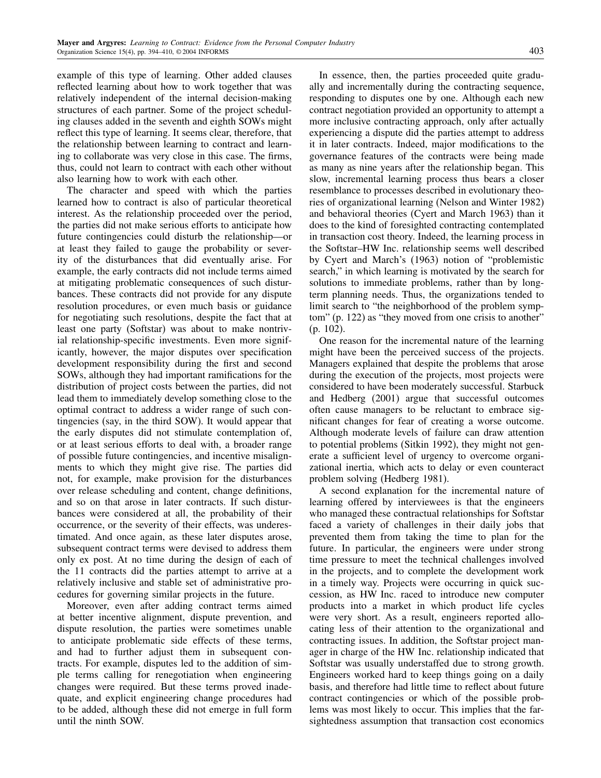example of this type of learning. Other added clauses reflected learning about how to work together that was relatively independent of the internal decision-making structures of each partner. Some of the project scheduling clauses added in the seventh and eighth SOWs might reflect this type of learning. It seems clear, therefore, that the relationship between learning to contract and learning to collaborate was very close in this case. The firms, thus, could not learn to contract with each other without also learning how to work with each other.

The character and speed with which the parties learned how to contract is also of particular theoretical interest. As the relationship proceeded over the period, the parties did not make serious efforts to anticipate how future contingencies could disturb the relationship—or at least they failed to gauge the probability or severity of the disturbances that did eventually arise. For example, the early contracts did not include terms aimed at mitigating problematic consequences of such disturbances. These contracts did not provide for any dispute resolution procedures, or even much basis or guidance for negotiating such resolutions, despite the fact that at least one party (Softstar) was about to make nontrivial relationship-specific investments. Even more significantly, however, the major disputes over specification development responsibility during the first and second SOWs, although they had important ramifications for the distribution of project costs between the parties, did not lead them to immediately develop something close to the optimal contract to address a wider range of such contingencies (say, in the third SOW). It would appear that the early disputes did not stimulate contemplation of, or at least serious efforts to deal with, a broader range of possible future contingencies, and incentive misalignments to which they might give rise. The parties did not, for example, make provision for the disturbances over release scheduling and content, change definitions, and so on that arose in later contracts. If such disturbances were considered at all, the probability of their occurrence, or the severity of their effects, was underestimated. And once again, as these later disputes arose, subsequent contract terms were devised to address them only ex post. At no time during the design of each of the 11 contracts did the parties attempt to arrive at a relatively inclusive and stable set of administrative procedures for governing similar projects in the future.

Moreover, even after adding contract terms aimed at better incentive alignment, dispute prevention, and dispute resolution, the parties were sometimes unable to anticipate problematic side effects of these terms, and had to further adjust them in subsequent contracts. For example, disputes led to the addition of simple terms calling for renegotiation when engineering changes were required. But these terms proved inadequate, and explicit engineering change procedures had to be added, although these did not emerge in full form until the ninth SOW.

In essence, then, the parties proceeded quite gradually and incrementally during the contracting sequence, responding to disputes one by one. Although each new contract negotiation provided an opportunity to attempt a more inclusive contracting approach, only after actually experiencing a dispute did the parties attempt to address it in later contracts. Indeed, major modifications to the governance features of the contracts were being made as many as nine years after the relationship began. This slow, incremental learning process thus bears a closer resemblance to processes described in evolutionary theories of organizational learning (Nelson and Winter 1982) and behavioral theories (Cyert and March 1963) than it does to the kind of foresighted contracting contemplated in transaction cost theory. Indeed, the learning process in the Softstar–HW Inc. relationship seems well described by Cyert and March's (1963) notion of "problemistic search," in which learning is motivated by the search for solutions to immediate problems, rather than by longterm planning needs. Thus, the organizations tended to limit search to "the neighborhood of the problem symptom" (p. 122) as "they moved from one crisis to another" (p. 102).

One reason for the incremental nature of the learning might have been the perceived success of the projects. Managers explained that despite the problems that arose during the execution of the projects, most projects were considered to have been moderately successful. Starbuck and Hedberg (2001) argue that successful outcomes often cause managers to be reluctant to embrace significant changes for fear of creating a worse outcome. Although moderate levels of failure can draw attention to potential problems (Sitkin 1992), they might not generate a sufficient level of urgency to overcome organizational inertia, which acts to delay or even counteract problem solving (Hedberg 1981).

A second explanation for the incremental nature of learning offered by interviewees is that the engineers who managed these contractual relationships for Softstar faced a variety of challenges in their daily jobs that prevented them from taking the time to plan for the future. In particular, the engineers were under strong time pressure to meet the technical challenges involved in the projects, and to complete the development work in a timely way. Projects were occurring in quick succession, as HW Inc. raced to introduce new computer products into a market in which product life cycles were very short. As a result, engineers reported allocating less of their attention to the organizational and contracting issues. In addition, the Softstar project manager in charge of the HW Inc. relationship indicated that Softstar was usually understaffed due to strong growth. Engineers worked hard to keep things going on a daily basis, and therefore had little time to reflect about future contract contingencies or which of the possible problems was most likely to occur. This implies that the farsightedness assumption that transaction cost economics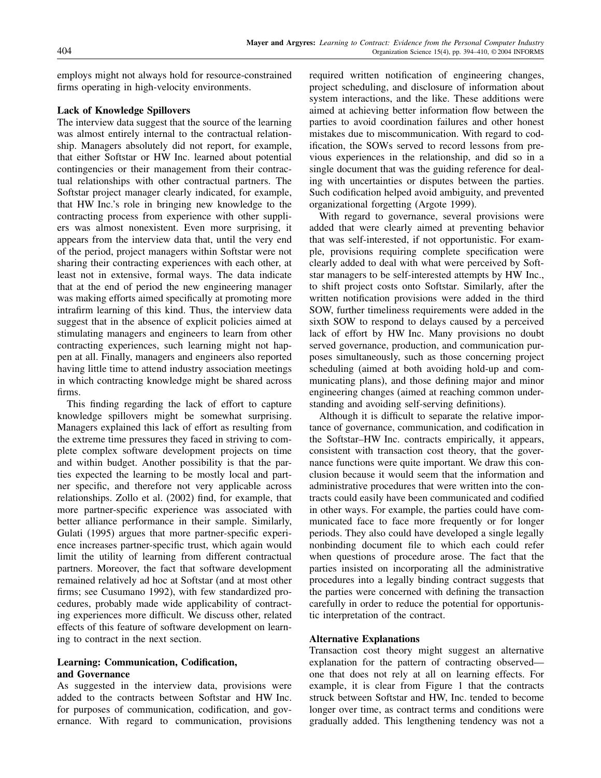employs might not always hold for resource-constrained firms operating in high-velocity environments.

# Lack of Knowledge Spillovers

The interview data suggest that the source of the learning was almost entirely internal to the contractual relationship. Managers absolutely did not report, for example, that either Softstar or HW Inc. learned about potential contingencies or their management from their contractual relationships with other contractual partners. The Softstar project manager clearly indicated, for example, that HW Inc.'s role in bringing new knowledge to the contracting process from experience with other suppliers was almost nonexistent. Even more surprising, it appears from the interview data that, until the very end of the period, project managers within Softstar were not sharing their contracting experiences with each other, at least not in extensive, formal ways. The data indicate that at the end of period the new engineering manager was making efforts aimed specifically at promoting more intrafirm learning of this kind. Thus, the interview data suggest that in the absence of explicit policies aimed at stimulating managers and engineers to learn from other contracting experiences, such learning might not happen at all. Finally, managers and engineers also reported having little time to attend industry association meetings in which contracting knowledge might be shared across firms.

This finding regarding the lack of effort to capture knowledge spillovers might be somewhat surprising. Managers explained this lack of effort as resulting from the extreme time pressures they faced in striving to complete complex software development projects on time and within budget. Another possibility is that the parties expected the learning to be mostly local and partner specific, and therefore not very applicable across relationships. Zollo et al. (2002) find, for example, that more partner-specific experience was associated with better alliance performance in their sample. Similarly, Gulati (1995) argues that more partner-specific experience increases partner-specific trust, which again would limit the utility of learning from different contractual partners. Moreover, the fact that software development remained relatively ad hoc at Softstar (and at most other firms; see Cusumano 1992), with few standardized procedures, probably made wide applicability of contracting experiences more difficult. We discuss other, related effects of this feature of software development on learning to contract in the next section.

# Learning: Communication, Codification, and Governance

As suggested in the interview data, provisions were added to the contracts between Softstar and HW Inc. for purposes of communication, codification, and governance. With regard to communication, provisions required written notification of engineering changes, project scheduling, and disclosure of information about system interactions, and the like. These additions were aimed at achieving better information flow between the parties to avoid coordination failures and other honest mistakes due to miscommunication. With regard to codification, the SOWs served to record lessons from previous experiences in the relationship, and did so in a single document that was the guiding reference for dealing with uncertainties or disputes between the parties. Such codification helped avoid ambiguity, and prevented organizational forgetting (Argote 1999).

With regard to governance, several provisions were added that were clearly aimed at preventing behavior that was self-interested, if not opportunistic. For example, provisions requiring complete specification were clearly added to deal with what were perceived by Softstar managers to be self-interested attempts by HW Inc., to shift project costs onto Softstar. Similarly, after the written notification provisions were added in the third SOW, further timeliness requirements were added in the sixth SOW to respond to delays caused by a perceived lack of effort by HW Inc. Many provisions no doubt served governance, production, and communication purposes simultaneously, such as those concerning project scheduling (aimed at both avoiding hold-up and communicating plans), and those defining major and minor engineering changes (aimed at reaching common understanding and avoiding self-serving definitions).

Although it is difficult to separate the relative importance of governance, communication, and codification in the Softstar–HW Inc. contracts empirically, it appears, consistent with transaction cost theory, that the governance functions were quite important. We draw this conclusion because it would seem that the information and administrative procedures that were written into the contracts could easily have been communicated and codified in other ways. For example, the parties could have communicated face to face more frequently or for longer periods. They also could have developed a single legally nonbinding document file to which each could refer when questions of procedure arose. The fact that the parties insisted on incorporating all the administrative procedures into a legally binding contract suggests that the parties were concerned with defining the transaction carefully in order to reduce the potential for opportunistic interpretation of the contract.

### Alternative Explanations

Transaction cost theory might suggest an alternative explanation for the pattern of contracting observed one that does not rely at all on learning effects. For example, it is clear from Figure 1 that the contracts struck between Softstar and HW, Inc. tended to become longer over time, as contract terms and conditions were gradually added. This lengthening tendency was not a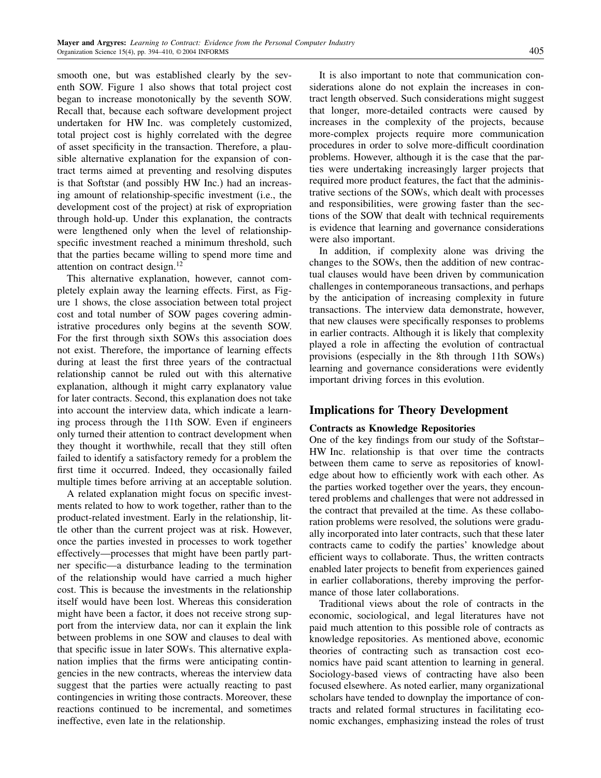smooth one, but was established clearly by the seventh SOW. Figure 1 also shows that total project cost began to increase monotonically by the seventh SOW. Recall that, because each software development project undertaken for HW Inc. was completely customized, total project cost is highly correlated with the degree of asset specificity in the transaction. Therefore, a plausible alternative explanation for the expansion of contract terms aimed at preventing and resolving disputes is that Softstar (and possibly HW Inc.) had an increasing amount of relationship-specific investment (i.e., the development cost of the project) at risk of expropriation through hold-up. Under this explanation, the contracts were lengthened only when the level of relationshipspecific investment reached a minimum threshold, such that the parties became willing to spend more time and attention on contract design.<sup>12</sup>

This alternative explanation, however, cannot completely explain away the learning effects. First, as Figure 1 shows, the close association between total project cost and total number of SOW pages covering administrative procedures only begins at the seventh SOW. For the first through sixth SOWs this association does not exist. Therefore, the importance of learning effects during at least the first three years of the contractual relationship cannot be ruled out with this alternative explanation, although it might carry explanatory value for later contracts. Second, this explanation does not take into account the interview data, which indicate a learning process through the 11th SOW. Even if engineers only turned their attention to contract development when they thought it worthwhile, recall that they still often failed to identify a satisfactory remedy for a problem the first time it occurred. Indeed, they occasionally failed multiple times before arriving at an acceptable solution.

A related explanation might focus on specific investments related to how to work together, rather than to the product-related investment. Early in the relationship, little other than the current project was at risk. However, once the parties invested in processes to work together effectively—processes that might have been partly partner specific—a disturbance leading to the termination of the relationship would have carried a much higher cost. This is because the investments in the relationship itself would have been lost. Whereas this consideration might have been a factor, it does not receive strong support from the interview data, nor can it explain the link between problems in one SOW and clauses to deal with that specific issue in later SOWs. This alternative explanation implies that the firms were anticipating contingencies in the new contracts, whereas the interview data suggest that the parties were actually reacting to past contingencies in writing those contracts. Moreover, these reactions continued to be incremental, and sometimes ineffective, even late in the relationship.

It is also important to note that communication considerations alone do not explain the increases in contract length observed. Such considerations might suggest that longer, more-detailed contracts were caused by increases in the complexity of the projects, because more-complex projects require more communication procedures in order to solve more-difficult coordination problems. However, although it is the case that the parties were undertaking increasingly larger projects that required more product features, the fact that the administrative sections of the SOWs, which dealt with processes and responsibilities, were growing faster than the sections of the SOW that dealt with technical requirements is evidence that learning and governance considerations were also important.

In addition, if complexity alone was driving the changes to the SOWs, then the addition of new contractual clauses would have been driven by communication challenges in contemporaneous transactions, and perhaps by the anticipation of increasing complexity in future transactions. The interview data demonstrate, however, that new clauses were specifically responses to problems in earlier contracts. Although it is likely that complexity played a role in affecting the evolution of contractual provisions (especially in the 8th through 11th SOWs) learning and governance considerations were evidently important driving forces in this evolution.

# Implications for Theory Development

### Contracts as Knowledge Repositories

One of the key findings from our study of the Softstar– HW Inc. relationship is that over time the contracts between them came to serve as repositories of knowledge about how to efficiently work with each other. As the parties worked together over the years, they encountered problems and challenges that were not addressed in the contract that prevailed at the time. As these collaboration problems were resolved, the solutions were gradually incorporated into later contracts, such that these later contracts came to codify the parties' knowledge about efficient ways to collaborate. Thus, the written contracts enabled later projects to benefit from experiences gained in earlier collaborations, thereby improving the performance of those later collaborations.

Traditional views about the role of contracts in the economic, sociological, and legal literatures have not paid much attention to this possible role of contracts as knowledge repositories. As mentioned above, economic theories of contracting such as transaction cost economics have paid scant attention to learning in general. Sociology-based views of contracting have also been focused elsewhere. As noted earlier, many organizational scholars have tended to downplay the importance of contracts and related formal structures in facilitating economic exchanges, emphasizing instead the roles of trust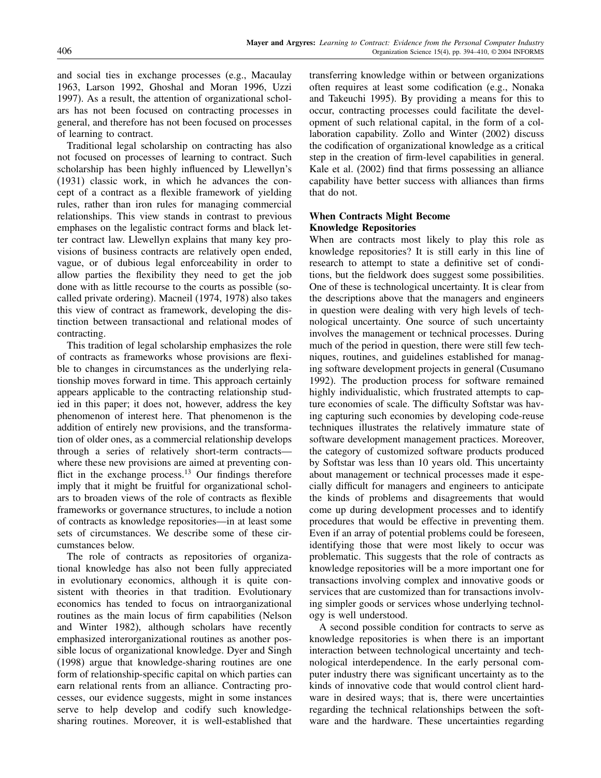and social ties in exchange processes (e.g., Macaulay 1963, Larson 1992, Ghoshal and Moran 1996, Uzzi 1997). As a result, the attention of organizational scholars has not been focused on contracting processes in general, and therefore has not been focused on processes of learning to contract.

Traditional legal scholarship on contracting has also not focused on processes of learning to contract. Such scholarship has been highly influenced by Llewellyn's (1931) classic work, in which he advances the concept of a contract as a flexible framework of yielding rules, rather than iron rules for managing commercial relationships. This view stands in contrast to previous emphases on the legalistic contract forms and black letter contract law. Llewellyn explains that many key provisions of business contracts are relatively open ended, vague, or of dubious legal enforceability in order to allow parties the flexibility they need to get the job done with as little recourse to the courts as possible (socalled private ordering). Macneil (1974, 1978) also takes this view of contract as framework, developing the distinction between transactional and relational modes of contracting.

This tradition of legal scholarship emphasizes the role of contracts as frameworks whose provisions are flexible to changes in circumstances as the underlying relationship moves forward in time. This approach certainly appears applicable to the contracting relationship studied in this paper; it does not, however, address the key phenomenon of interest here. That phenomenon is the addition of entirely new provisions, and the transformation of older ones, as a commercial relationship develops through a series of relatively short-term contracts where these new provisions are aimed at preventing conflict in the exchange process.<sup>13</sup> Our findings therefore imply that it might be fruitful for organizational scholars to broaden views of the role of contracts as flexible frameworks or governance structures, to include a notion of contracts as knowledge repositories—in at least some sets of circumstances. We describe some of these circumstances below.

The role of contracts as repositories of organizational knowledge has also not been fully appreciated in evolutionary economics, although it is quite consistent with theories in that tradition. Evolutionary economics has tended to focus on intraorganizational routines as the main locus of firm capabilities (Nelson and Winter 1982), although scholars have recently emphasized interorganizational routines as another possible locus of organizational knowledge. Dyer and Singh (1998) argue that knowledge-sharing routines are one form of relationship-specific capital on which parties can earn relational rents from an alliance. Contracting processes, our evidence suggests, might in some instances serve to help develop and codify such knowledgesharing routines. Moreover, it is well-established that

transferring knowledge within or between organizations often requires at least some codification (e.g., Nonaka and Takeuchi 1995). By providing a means for this to occur, contracting processes could facilitate the development of such relational capital, in the form of a collaboration capability. Zollo and Winter (2002) discuss the codification of organizational knowledge as a critical step in the creation of firm-level capabilities in general. Kale et al. (2002) find that firms possessing an alliance capability have better success with alliances than firms that do not.

# When Contracts Might Become Knowledge Repositories

When are contracts most likely to play this role as knowledge repositories? It is still early in this line of research to attempt to state a definitive set of conditions, but the fieldwork does suggest some possibilities. One of these is technological uncertainty. It is clear from the descriptions above that the managers and engineers in question were dealing with very high levels of technological uncertainty. One source of such uncertainty involves the management or technical processes. During much of the period in question, there were still few techniques, routines, and guidelines established for managing software development projects in general (Cusumano 1992). The production process for software remained highly individualistic, which frustrated attempts to capture economies of scale. The difficulty Softstar was having capturing such economies by developing code-reuse techniques illustrates the relatively immature state of software development management practices. Moreover, the category of customized software products produced by Softstar was less than 10 years old. This uncertainty about management or technical processes made it especially difficult for managers and engineers to anticipate the kinds of problems and disagreements that would come up during development processes and to identify procedures that would be effective in preventing them. Even if an array of potential problems could be foreseen, identifying those that were most likely to occur was problematic. This suggests that the role of contracts as knowledge repositories will be a more important one for transactions involving complex and innovative goods or services that are customized than for transactions involving simpler goods or services whose underlying technology is well understood.

A second possible condition for contracts to serve as knowledge repositories is when there is an important interaction between technological uncertainty and technological interdependence. In the early personal computer industry there was significant uncertainty as to the kinds of innovative code that would control client hardware in desired ways; that is, there were uncertainties regarding the technical relationships between the software and the hardware. These uncertainties regarding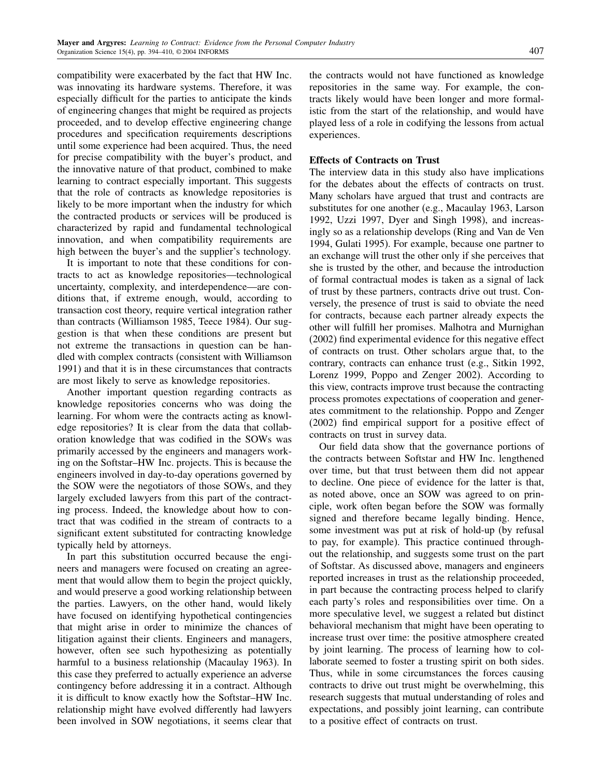compatibility were exacerbated by the fact that HW Inc. was innovating its hardware systems. Therefore, it was especially difficult for the parties to anticipate the kinds of engineering changes that might be required as projects proceeded, and to develop effective engineering change procedures and specification requirements descriptions until some experience had been acquired. Thus, the need for precise compatibility with the buyer's product, and the innovative nature of that product, combined to make learning to contract especially important. This suggests that the role of contracts as knowledge repositories is likely to be more important when the industry for which the contracted products or services will be produced is characterized by rapid and fundamental technological innovation, and when compatibility requirements are high between the buyer's and the supplier's technology.

It is important to note that these conditions for contracts to act as knowledge repositories—technological uncertainty, complexity, and interdependence—are conditions that, if extreme enough, would, according to transaction cost theory, require vertical integration rather than contracts (Williamson 1985, Teece 1984). Our suggestion is that when these conditions are present but not extreme the transactions in question can be handled with complex contracts (consistent with Williamson 1991) and that it is in these circumstances that contracts are most likely to serve as knowledge repositories.

Another important question regarding contracts as knowledge repositories concerns who was doing the learning. For whom were the contracts acting as knowledge repositories? It is clear from the data that collaboration knowledge that was codified in the SOWs was primarily accessed by the engineers and managers working on the Softstar–HW Inc. projects. This is because the engineers involved in day-to-day operations governed by the SOW were the negotiators of those SOWs, and they largely excluded lawyers from this part of the contracting process. Indeed, the knowledge about how to contract that was codified in the stream of contracts to a significant extent substituted for contracting knowledge typically held by attorneys.

In part this substitution occurred because the engineers and managers were focused on creating an agreement that would allow them to begin the project quickly, and would preserve a good working relationship between the parties. Lawyers, on the other hand, would likely have focused on identifying hypothetical contingencies that might arise in order to minimize the chances of litigation against their clients. Engineers and managers, however, often see such hypothesizing as potentially harmful to a business relationship (Macaulay 1963). In this case they preferred to actually experience an adverse contingency before addressing it in a contract. Although it is difficult to know exactly how the Softstar–HW Inc. relationship might have evolved differently had lawyers been involved in SOW negotiations, it seems clear that

the contracts would not have functioned as knowledge repositories in the same way. For example, the contracts likely would have been longer and more formalistic from the start of the relationship, and would have played less of a role in codifying the lessons from actual experiences.

# Effects of Contracts on Trust

The interview data in this study also have implications for the debates about the effects of contracts on trust. Many scholars have argued that trust and contracts are substitutes for one another (e.g., Macaulay 1963, Larson 1992, Uzzi 1997, Dyer and Singh 1998), and increasingly so as a relationship develops (Ring and Van de Ven 1994, Gulati 1995). For example, because one partner to an exchange will trust the other only if she perceives that she is trusted by the other, and because the introduction of formal contractual modes is taken as a signal of lack of trust by these partners, contracts drive out trust. Conversely, the presence of trust is said to obviate the need for contracts, because each partner already expects the other will fulfill her promises. Malhotra and Murnighan (2002) find experimental evidence for this negative effect of contracts on trust. Other scholars argue that, to the contrary, contracts can enhance trust (e.g., Sitkin 1992, Lorenz 1999, Poppo and Zenger 2002). According to this view, contracts improve trust because the contracting process promotes expectations of cooperation and generates commitment to the relationship. Poppo and Zenger (2002) find empirical support for a positive effect of contracts on trust in survey data.

Our field data show that the governance portions of the contracts between Softstar and HW Inc. lengthened over time, but that trust between them did not appear to decline. One piece of evidence for the latter is that, as noted above, once an SOW was agreed to on principle, work often began before the SOW was formally signed and therefore became legally binding. Hence, some investment was put at risk of hold-up (by refusal to pay, for example). This practice continued throughout the relationship, and suggests some trust on the part of Softstar. As discussed above, managers and engineers reported increases in trust as the relationship proceeded, in part because the contracting process helped to clarify each party's roles and responsibilities over time. On a more speculative level, we suggest a related but distinct behavioral mechanism that might have been operating to increase trust over time: the positive atmosphere created by joint learning. The process of learning how to collaborate seemed to foster a trusting spirit on both sides. Thus, while in some circumstances the forces causing contracts to drive out trust might be overwhelming, this research suggests that mutual understanding of roles and expectations, and possibly joint learning, can contribute to a positive effect of contracts on trust.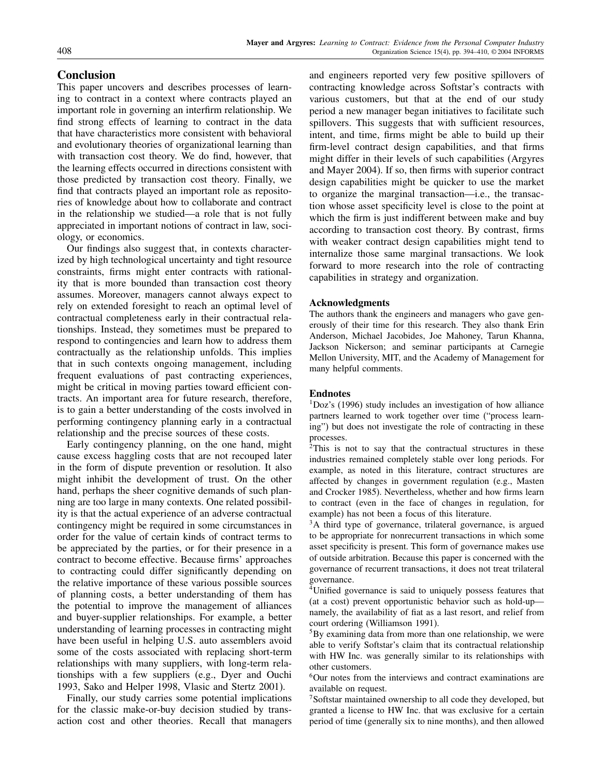# **Conclusion**

This paper uncovers and describes processes of learning to contract in a context where contracts played an important role in governing an interfirm relationship. We find strong effects of learning to contract in the data that have characteristics more consistent with behavioral and evolutionary theories of organizational learning than with transaction cost theory. We do find, however, that the learning effects occurred in directions consistent with those predicted by transaction cost theory. Finally, we find that contracts played an important role as repositories of knowledge about how to collaborate and contract in the relationship we studied—a role that is not fully appreciated in important notions of contract in law, sociology, or economics.

Our findings also suggest that, in contexts characterized by high technological uncertainty and tight resource constraints, firms might enter contracts with rationality that is more bounded than transaction cost theory assumes. Moreover, managers cannot always expect to rely on extended foresight to reach an optimal level of contractual completeness early in their contractual relationships. Instead, they sometimes must be prepared to respond to contingencies and learn how to address them contractually as the relationship unfolds. This implies that in such contexts ongoing management, including frequent evaluations of past contracting experiences, might be critical in moving parties toward efficient contracts. An important area for future research, therefore, is to gain a better understanding of the costs involved in performing contingency planning early in a contractual relationship and the precise sources of these costs.

Early contingency planning, on the one hand, might cause excess haggling costs that are not recouped later in the form of dispute prevention or resolution. It also might inhibit the development of trust. On the other hand, perhaps the sheer cognitive demands of such planning are too large in many contexts. One related possibility is that the actual experience of an adverse contractual contingency might be required in some circumstances in order for the value of certain kinds of contract terms to be appreciated by the parties, or for their presence in a contract to become effective. Because firms' approaches to contracting could differ significantly depending on the relative importance of these various possible sources of planning costs, a better understanding of them has the potential to improve the management of alliances and buyer-supplier relationships. For example, a better understanding of learning processes in contracting might have been useful in helping U.S. auto assemblers avoid some of the costs associated with replacing short-term relationships with many suppliers, with long-term relationships with a few suppliers (e.g., Dyer and Ouchi 1993, Sako and Helper 1998, Vlasic and Stertz 2001).

Finally, our study carries some potential implications for the classic make-or-buy decision studied by transaction cost and other theories. Recall that managers and engineers reported very few positive spillovers of contracting knowledge across Softstar's contracts with various customers, but that at the end of our study period a new manager began initiatives to facilitate such spillovers. This suggests that with sufficient resources, intent, and time, firms might be able to build up their firm-level contract design capabilities, and that firms might differ in their levels of such capabilities (Argyres and Mayer 2004). If so, then firms with superior contract design capabilities might be quicker to use the market to organize the marginal transaction—i.e., the transaction whose asset specificity level is close to the point at which the firm is just indifferent between make and buy according to transaction cost theory. By contrast, firms with weaker contract design capabilities might tend to internalize those same marginal transactions. We look forward to more research into the role of contracting capabilities in strategy and organization.

### Acknowledgments

The authors thank the engineers and managers who gave generously of their time for this research. They also thank Erin Anderson, Michael Jacobides, Joe Mahoney, Tarun Khanna, Jackson Nickerson; and seminar participants at Carnegie Mellon University, MIT, and the Academy of Management for many helpful comments.

#### Endnotes

 $1$ Doz's (1996) study includes an investigation of how alliance partners learned to work together over time ("process learning") but does not investigate the role of contracting in these processes.

<sup>2</sup>This is not to say that the contractual structures in these industries remained completely stable over long periods. For example, as noted in this literature, contract structures are affected by changes in government regulation (e.g., Masten and Crocker 1985). Nevertheless, whether and how firms learn to contract (even in the face of changes in regulation, for example) has not been a focus of this literature.

<sup>3</sup>A third type of governance, trilateral governance, is argued to be appropriate for nonrecurrent transactions in which some asset specificity is present. This form of governance makes use of outside arbitration. Because this paper is concerned with the governance of recurrent transactions, it does not treat trilateral governance.

<sup>4</sup>Unified governance is said to uniquely possess features that (at a cost) prevent opportunistic behavior such as hold-up namely, the availability of fiat as a last resort, and relief from court ordering (Williamson 1991).

5By examining data from more than one relationship, we were able to verify Softstar's claim that its contractual relationship with HW Inc. was generally similar to its relationships with other customers.

<sup>6</sup>Our notes from the interviews and contract examinations are available on request.

 $7$ Softstar maintained ownership to all code they developed, but granted a license to HW Inc. that was exclusive for a certain period of time (generally six to nine months), and then allowed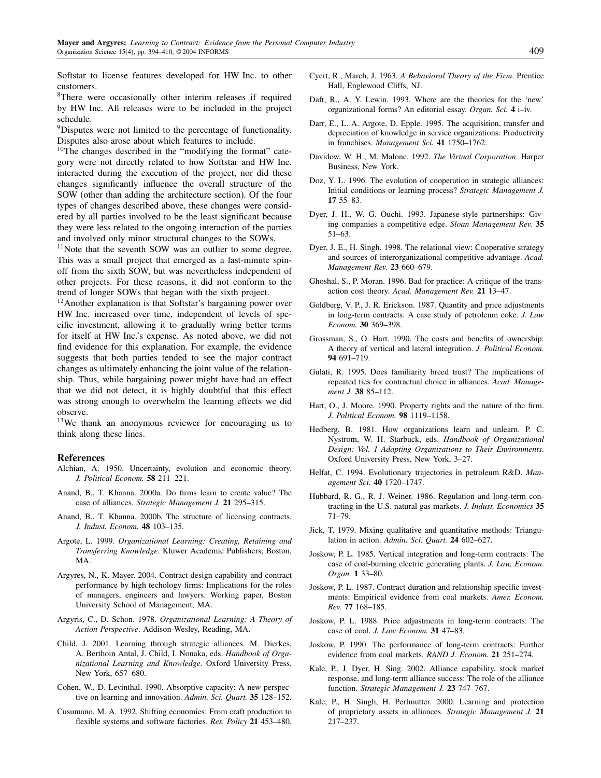Softstar to license features developed for HW Inc. to other customers.

8There were occasionally other interim releases if required by HW Inc. All releases were to be included in the project schedule.

<sup>9</sup>Disputes were not limited to the percentage of functionality. Disputes also arose about which features to include.

<sup>10</sup>The changes described in the "modifying the format" category were not directly related to how Softstar and HW Inc. interacted during the execution of the project, nor did these changes significantly influence the overall structure of the SOW (other than adding the architecture section). Of the four types of changes described above, these changes were considered by all parties involved to be the least significant because they were less related to the ongoing interaction of the parties and involved only minor structural changes to the SOWs.

 $11$ Note that the seventh SOW was an outlier to some degree. This was a small project that emerged as a last-minute spinoff from the sixth SOW, but was nevertheless independent of other projects. For these reasons, it did not conform to the trend of longer SOWs that began with the sixth project.

12Another explanation is that Softstar's bargaining power over HW Inc. increased over time, independent of levels of specific investment, allowing it to gradually wring better terms for itself at HW Inc.'s expense. As noted above, we did not find evidence for this explanation. For example, the evidence suggests that both parties tended to see the major contract changes as ultimately enhancing the joint value of the relationship. Thus, while bargaining power might have had an effect that we did not detect, it is highly doubtful that this effect was strong enough to overwhelm the learning effects we did observe.

<sup>13</sup>We thank an anonymous reviewer for encouraging us to think along these lines.

#### References

- Alchian, A. 1950. Uncertainty, evolution and economic theory. J. Political Econom. 58 211–221.
- Anand, B., T. Khanna. 2000a. Do firms learn to create value? The case of alliances. Strategic Management J. 21 295-315.
- Anand, B., T. Khanna. 2000b. The structure of licensing contracts. J. Indust. Econom. 48 103–135.
- Argote, L. 1999. Organizational Learning: Creating, Retaining and Transferring Knowledge. Kluwer Academic Publishers, Boston, MA.
- Argyres, N., K. Mayer. 2004. Contract design capability and contract performance by high techology firms: Implications for the roles of managers, engineers and lawyers. Working paper, Boston University School of Management, MA.
- Argyris, C., D. Schon. 1978. Organizational Learning: A Theory of Action Perspective. Addison-Wesley, Reading, MA.
- Child, J. 2001. Learning through strategic alliances. M. Dierkes, A. Berthoin Antal, J. Child, I. Nonaka, eds. Handbook of Organizational Learning and Knowledge. Oxford University Press, New York, 657–680.
- Cohen, W., D. Levinthal. 1990. Absorptive capacity: A new perspective on learning and innovation. Admin. Sci. Quart. 35 128–152.
- Cusumano, M. A. 1992. Shifting economies: From craft production to flexible systems and software factories. Res. Policy 21 453–480.
- Cyert, R., March, J. 1963. A Behavioral Theory of the Firm. Prentice Hall, Englewood Cliffs, NJ.
- Daft, R., A. Y. Lewin. 1993. Where are the theories for the 'new' organizational forms? An editorial essay. Organ. Sci. 4 i–iv.
- Darr, E., L. A. Argote, D. Epple. 1995. The acquisition, transfer and depreciation of knowledge in service organizations: Productivity in franchises. Management Sci. 41 1750–1762.
- Davidow, W. H., M. Malone. 1992. The Virtual Corporation. Harper Business, New York.
- Doz, Y. L. 1996. The evolution of cooperation in strategic alliances: Initial conditions or learning process? Strategic Management J. 17 55–83.
- Dyer, J. H., W. G. Ouchi. 1993. Japanese-style partnerships: Giving companies a competitive edge. Sloan Management Rev. 35 51–63.
- Dyer, J. E., H. Singh. 1998. The relational view: Cooperative strategy and sources of interorganizational competitive advantage. Acad. Management Rev. 23 660–679.
- Ghoshal, S., P. Moran. 1996. Bad for practice: A critique of the transaction cost theory. Acad. Management Rev. 21 13–47.
- Goldberg, V. P., J. R. Erickson. 1987. Quantity and price adjustments in long-term contracts: A case study of petroleum coke. J. Law Econom. 30 369–398.
- Grossman, S., O. Hart. 1990. The costs and benefits of ownership: A theory of vertical and lateral integration. J. Political Econom. 94 691–719.
- Gulati, R. 1995. Does familiarity breed trust? The implications of repeated ties for contractual choice in alliances. Acad. Management J. 38 85-112.
- Hart, O., J. Moore. 1990. Property rights and the nature of the firm. J. Political Econom. 98 1119–1158.
- Hedberg, B. 1981. How organizations learn and unlearn. P. C. Nystrom, W. H. Starbuck, eds. Handbook of Organizational Design: Vol. 1 Adapting Organizations to Their Environments. Oxford University Press, New York, 3–27.
- Helfat, C. 1994. Evolutionary trajectories in petroleum R&D. Management Sci. 40 1720–1747.
- Hubbard, R. G., R. J. Weiner. 1986. Regulation and long-term contracting in the U.S. natural gas markets. J. Indust. Economics 35 71–79.
- Jick, T. 1979. Mixing qualitative and quantitative methods: Triangulation in action. Admin. Sci. Quart. 24 602–627.
- Joskow, P. L. 1985. Vertical integration and long-term contracts: The case of coal-burning electric generating plants. J. Law, Econom. Organ. 1 33–80.
- Joskow, P. L. 1987. Contract duration and relationship specific investments: Empirical evidence from coal markets. Amer. Econom. Rev. 77 168–185.
- Joskow, P. L. 1988. Price adjustments in long-term contracts: The case of coal. J. Law Econom. 31 47–83.
- Joskow, P. 1990. The performance of long-term contracts: Further evidence from coal markets. RAND J. Econom. 21 251–274.
- Kale, P., J. Dyer, H. Sing. 2002. Alliance capability, stock market response, and long-term alliance success: The role of the alliance function. Strategic Management J. 23 747–767.
- Kale, P., H. Singh, H. Perlmutter. 2000. Learning and protection of proprietary assets in alliances. Strategic Management J. 21 217–237.